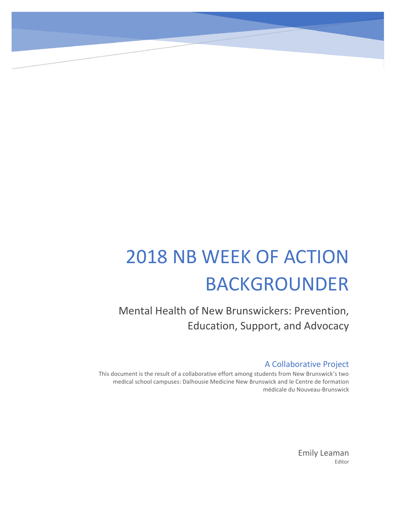# 2018 NB WEEK OF ACTION BACKGROUNDER

Mental Health of New Brunswickers: Prevention, Education, Support, and Advocacy

# A Collaborative Project

This document is the result of a collaborative effort among students from New Brunswick's two medical school campuses: Dalhousie Medicine New Brunswick and le Centre de formation médicale du Nouveau-Brunswick

> Emily Leaman Editor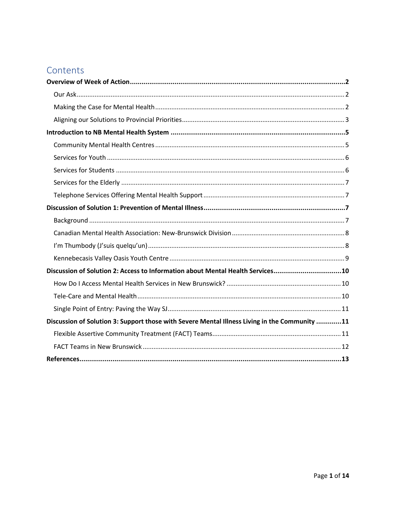# Contents

| Discussion of Solution 2: Access to Information about Mental Health Services10                |  |
|-----------------------------------------------------------------------------------------------|--|
|                                                                                               |  |
|                                                                                               |  |
|                                                                                               |  |
| Discussion of Solution 3: Support those with Severe Mental Illness Living in the Community 11 |  |
|                                                                                               |  |
|                                                                                               |  |
|                                                                                               |  |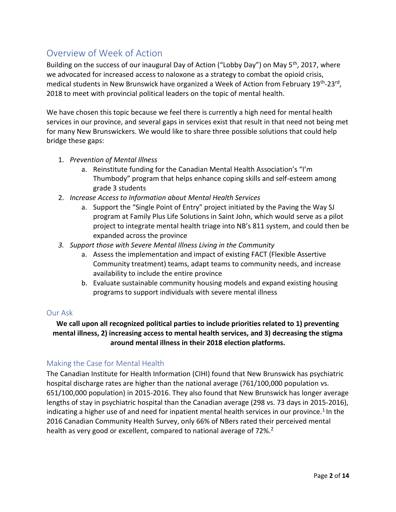# <span id="page-2-0"></span>Overview of Week of Action

Building on the success of our inaugural Day of Action ("Lobby Day") on May 5<sup>th</sup>, 2017, where we advocated for increased access to naloxone as a strategy to combat the opioid crisis, medical students in New Brunswick have organized a Week of Action from February 19<sup>th</sup>-23<sup>rd</sup>, 2018 to meet with provincial political leaders on the topic of mental health.

We have chosen this topic because we feel there is currently a high need for mental health services in our province, and several gaps in services exist that result in that need not being met for many New Brunswickers. We would like to share three possible solutions that could help bridge these gaps:

- 1. *Prevention of Mental Illness*
	- a. Reinstitute funding for the Canadian Mental Health Association's "I'm Thumbody" program that helps enhance coping skills and self-esteem among grade 3 students
- 2. *Increase Access to Information about Mental Health Services*
	- a. Support the "Single Point of Entry" project initiated by the Paving the Way SJ program at Family Plus Life Solutions in Saint John, which would serve as a pilot project to integrate mental health triage into NB's 811 system, and could then be expanded across the province
- *3. Support those with Severe Mental Illness Living in the Community*
	- a. Assess the implementation and impact of existing FACT (Flexible Assertive Community treatment) teams, adapt teams to community needs, and increase availability to include the entire province
	- b. Evaluate sustainable community housing models and expand existing housing programs to support individuals with severe mental illness

#### <span id="page-2-1"></span>Our Ask

## **We call upon all recognized political parties to include priorities related to 1) preventing mental illness, 2) increasing access to mental health services, and 3) decreasing the stigma around mental illness in their 2018 election platforms.**

#### <span id="page-2-2"></span>Making the Case for Mental Health

The Canadian Institute for Health Information (CIHI) found that New Brunswick has psychiatric hospital discharge rates are higher than the national average (761/100,000 population vs. 651/100,000 population) in 2015-2016. They also found that New Brunswick has longer average lengths of stay in psychiatric hospital than the Canadian average (298 vs. 73 days in 2015-2016), indicating a higher use of and need for inpatient mental health services in our province.<sup>1</sup> In the 2016 Canadian Community Health Survey, only 66% of NBers rated their perceived mental health as very good or excellent, compared to national average of 72%.<sup>2</sup>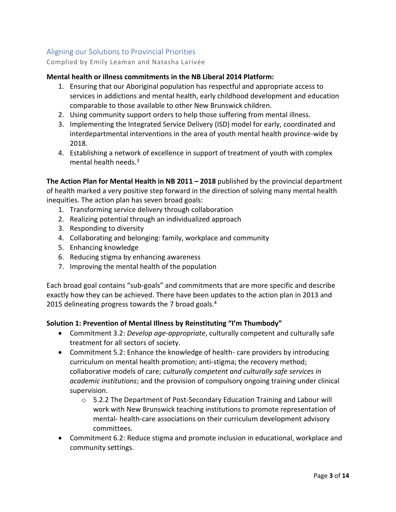# <span id="page-3-0"></span>Aligning our Solutions to Provincial Priorities

Complied by Emily Leaman and Natasha Larivée

#### **Mental health or illness commitments in the NB Liberal 2014 Platform:**

- 1. Ensuring that our Aboriginal population has respectful and appropriate access to services in addictions and mental health, early childhood development and education comparable to those available to other New Brunswick children.
- 2. Using community support orders to help those suffering from mental illness.
- 3. Implementing the Integrated Service Delivery (ISD) model for early, coordinated and interdepartmental interventions in the area of youth mental health province-wide by 2018.
- 4. Establishing a network of excellence in support of treatment of youth with complex mental health needs. $3$

**The Action Plan for Mental Health in NB 2011 – 2018** published by the provincial department of health marked a very positive step forward in the direction of solving many mental health inequities. The action plan has seven broad goals:

- 1. Transforming service delivery through collaboration
- 2. Realizing potential through an individualized approach
- 3. Responding to diversity
- 4. Collaborating and belonging: family, workplace and community
- 5. Enhancing knowledge
- 6. Reducing stigma by enhancing awareness
- 7. Improving the mental health of the population

Each broad goal contains "sub-goals" and commitments that are more specific and describe exactly how they can be achieved. There have been updates to the action plan in 2013 and 2015 delineating progress towards the 7 broad goals.<sup>4</sup>

#### **Solution 1: Prevention of Mental Illness by Reinstituting "I'm Thumbody"**

- Commitment 3.2: *Develop age-appropriate*, culturally competent and culturally safe treatment for all sectors of society.
- Commitment 5.2: Enhance the knowledge of health- care providers by introducing curriculum on mental health promotion; anti-stigma; the recovery method; collaborative models of care; *culturally competent and culturally safe services in academic institutions*; and the provision of compulsory ongoing training under clinical supervision.
	- $\circ$  5.2.2 The Department of Post-Secondary Education Training and Labour will work with New Brunswick teaching institutions to promote representation of mental- health-care associations on their curriculum development advisory committees.
- Commitment 6.2: Reduce stigma and promote inclusion in educational, workplace and community settings.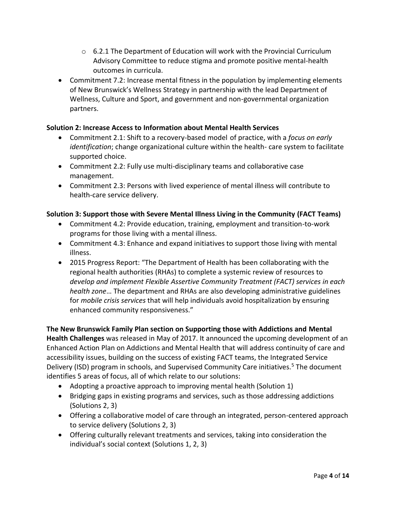- $\circ$  6.2.1 The Department of Education will work with the Provincial Curriculum Advisory Committee to reduce stigma and promote positive mental-health outcomes in curricula.
- Commitment 7.2: Increase mental fitness in the population by implementing elements of New Brunswick's Wellness Strategy in partnership with the lead Department of Wellness, Culture and Sport, and government and non-governmental organization partners.

## **Solution 2: Increase Access to Information about Mental Health Services**

- Commitment 2.1: Shift to a recovery-based model of practice, with a *focus on early identification*; change organizational culture within the health- care system to facilitate supported choice.
- Commitment 2.2: Fully use multi-disciplinary teams and collaborative case management.
- Commitment 2.3: Persons with lived experience of mental illness will contribute to health-care service delivery.

## **Solution 3: Support those with Severe Mental Illness Living in the Community (FACT Teams)**

- Commitment 4.2: Provide education, training, employment and transition-to-work programs for those living with a mental illness.
- Commitment 4.3: Enhance and expand initiatives to support those living with mental illness.
- 2015 Progress Report: "The Department of Health has been collaborating with the regional health authorities (RHAs) to complete a systemic review of resources to *develop and implement Flexible Assertive Community Treatment (FACT) services in each health zone*… The department and RHAs are also developing administrative guidelines for *mobile crisis services* that will help individuals avoid hospitalization by ensuring enhanced community responsiveness."

# **The New Brunswick Family Plan section on Supporting those with Addictions and Mental**

**Health Challenges** was released in May of 2017. It announced the upcoming development of an Enhanced Action Plan on Addictions and Mental Health that will address continuity of care and accessibility issues, building on the success of existing FACT teams, the Integrated Service Delivery (ISD) program in schools, and Supervised Community Care initiatives.<sup>5</sup> The document identifies 5 areas of focus, all of which relate to our solutions:

- Adopting a proactive approach to improving mental health (Solution 1)
- Bridging gaps in existing programs and services, such as those addressing addictions (Solutions 2, 3)
- Offering a collaborative model of care through an integrated, person-centered approach to service delivery (Solutions 2, 3)
- Offering culturally relevant treatments and services, taking into consideration the individual's social context (Solutions 1, 2, 3)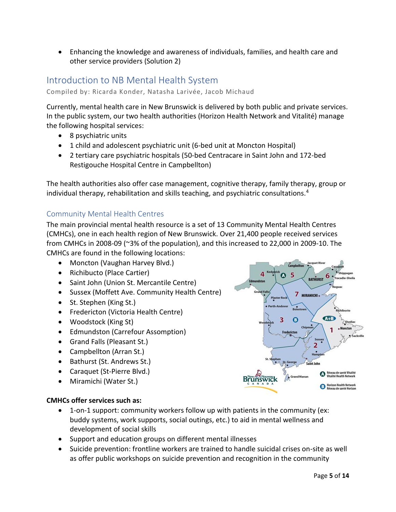• Enhancing the knowledge and awareness of individuals, families, and health care and other service providers (Solution 2)

# <span id="page-5-0"></span>Introduction to NB Mental Health System

Compiled by: Ricarda Konder, Natasha Larivée, Jacob Michaud

Currently, mental health care in New Brunswick is delivered by both public and private services. In the public system, our two health authorities (Horizon Health Network and Vitalité) manage the following hospital services:

- 8 psychiatric units
- 1 child and adolescent psychiatric unit (6-bed unit at Moncton Hospital)
- 2 tertiary care psychiatric hospitals (50-bed Centracare in Saint John and 172-bed Restigouche Hospital Centre in Campbellton)

The health authorities also offer case management, cognitive therapy, family therapy, group or individual therapy, rehabilitation and skills teaching, and psychiatric consultations.<sup>4</sup>

## <span id="page-5-1"></span>Community Mental Health Centres

The main provincial mental health resource is a set of 13 Community Mental Health Centres (CMHCs), one in each health region of New Brunswick. Over 21,400 people received services from CMHCs in 2008-09 (~3% of the population), and this increased to 22,000 in 2009-10. The CMHCs are found in the following locations:

- Moncton (Vaughan Harvey Blvd.)
- Richibucto (Place Cartier)
- Saint John (Union St. Mercantile Centre)
- Sussex (Moffett Ave. Community Health Centre)
- St. Stephen (King St.)
- Fredericton (Victoria Health Centre)
- Woodstock (King St)
- Edmundston (Carrefour Assomption)
- Grand Falls (Pleasant St.)
- Campbellton (Arran St.)
- Bathurst (St. Andrews St.)
- Caraquet (St-Pierre Blvd.)
- Miramichi (Water St.)

## **CMHCs offer services such as:**

- 1-on-1 support: community workers follow up with patients in the community (ex: buddy systems, work supports, social outings, etc.) to aid in mental wellness and development of social skills
- Support and education groups on different mental illnesses
- Suicide prevention: frontline workers are trained to handle suicidal crises on-site as well as offer public workshops on suicide prevention and recognition in the community

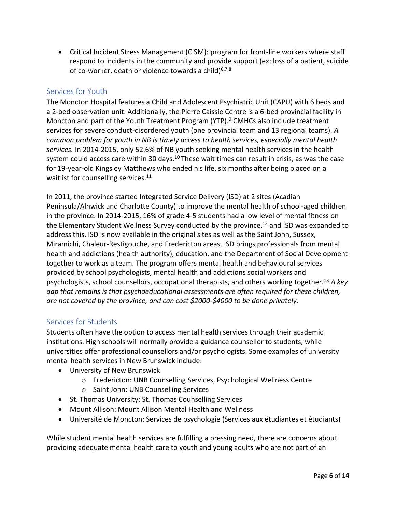• Critical Incident Stress Management (CISM): program for front-line workers where staff respond to incidents in the community and provide support (ex: loss of a patient, suicide of co-worker, death or violence towards a child) $6,7,8$ 

## <span id="page-6-0"></span>Services for Youth

The Moncton Hospital features a Child and Adolescent Psychiatric Unit (CAPU) with 6 beds and a 2-bed observation unit. Additionally, the Pierre Caissie Centre is a 6-bed provincial facility in Moncton and part of the Youth Treatment Program (YTP).<sup>9</sup> CMHCs also include treatment services for severe conduct-disordered youth (one provincial team and 13 regional teams). *A common problem for youth in NB is timely access to health services, especially mental health services.* In 2014-2015, only 52.6% of NB youth seeking mental health services in the health system could access care within 30 days.<sup>10</sup> These wait times can result in crisis, as was the case for 19-year-old Kingsley Matthews who ended his life, six months after being placed on a waitlist for counselling services.<sup>11</sup>

In 2011, the province started Integrated Service Delivery (ISD) at 2 sites (Acadian Peninsula/Alnwick and Charlotte County) to improve the mental health of school-aged children in the province. In 2014-2015, 16% of grade 4-5 students had a low level of mental fitness on the Elementary Student Wellness Survey conducted by the province,<sup>12</sup> and ISD was expanded to address this. ISD is now available in the original sites as well as the Saint John, Sussex, Miramichi, Chaleur-Restigouche, and Fredericton areas. ISD brings professionals from mental health and addictions (health authority), education, and the Department of Social Development together to work as a team. The program offers mental health and behavioural services provided by school psychologists, mental health and addictions social workers and psychologists, school counsellors, occupational therapists, and others working together.<sup>13</sup> *A key gap that remains is that psychoeducational assessments are often required for these children, are not covered by the province, and can cost \$2000-\$4000 to be done privately.*

# <span id="page-6-1"></span>Services for Students

Students often have the option to access mental health services through their academic institutions. High schools will normally provide a guidance counsellor to students, while universities offer professional counsellors and/or psychologists. Some examples of university mental health services in New Brunswick include:

- University of New Brunswick
	- o Fredericton: UNB Counselling Services, Psychological Wellness Centre
	- o Saint John: UNB Counselling Services
- St. Thomas University: St. Thomas Counselling Services
- Mount Allison: Mount Allison Mental Health and Wellness
- Université de Moncton: Services de psychologie (Services aux étudiantes et étudiants)

While student mental health services are fulfilling a pressing need, there are concerns about providing adequate mental health care to youth and young adults who are not part of an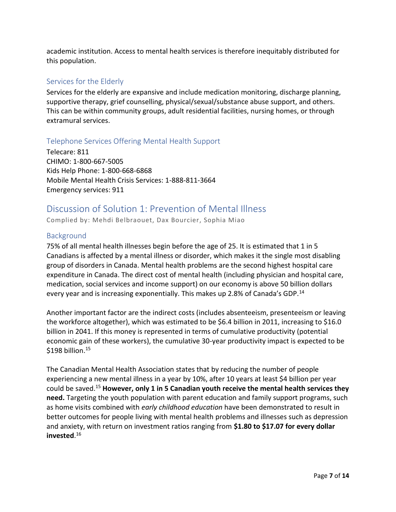academic institution. Access to mental health services is therefore inequitably distributed for this population.

## <span id="page-7-0"></span>Services for the Elderly

Services for the elderly are expansive and include medication monitoring, discharge planning, supportive therapy, grief counselling, physical/sexual/substance abuse support, and others. This can be within community groups, adult residential facilities, nursing homes, or through extramural services.

## <span id="page-7-1"></span>Telephone Services Offering Mental Health Support

Telecare: 811 CHIMO: 1-800-667-5005 Kids Help Phone: 1-800-668-6868 Mobile Mental Health Crisis Services: 1-888-811-3664 Emergency services: 911

# <span id="page-7-2"></span>Discussion of Solution 1: Prevention of Mental Illness

Complied by: Mehdi Belbraouet, Dax Bourcier, Sophia Miao

## <span id="page-7-3"></span>**Background**

75% of all mental health illnesses begin before the age of 25. It is estimated that 1 in 5 Canadians is affected by a mental illness or disorder, which makes it the single most disabling group of disorders in Canada. Mental health problems are the second highest hospital care expenditure in Canada. The direct cost of mental health (including physician and hospital care, medication, social services and income support) on our economy is above 50 billion dollars every year and is increasing exponentially. This makes up 2.8% of Canada's GDP.<sup>14</sup>

Another important factor are the indirect costs (includes absenteeism, presenteeism or leaving the workforce altogether), which was estimated to be \$6.4 billion in 2011, increasing to \$16.0 billion in 2041. If this money is represented in terms of cumulative productivity (potential economic gain of these workers), the cumulative 30-year productivity impact is expected to be  $$198$  billion.<sup>15</sup>

The Canadian Mental Health Association states that by reducing the number of people experiencing a new mental illness in a year by 10%, after 10 years at least \$4 billion per year could be saved. <sup>15</sup> **However, only 1 in 5 Canadian youth receive the mental health services they need.** Targeting the youth population with parent education and family support programs, such as home visits combined with *early childhood education* have been demonstrated to result in better outcomes for people living with mental health problems and illnesses such as depression and anxiety, with return on investment ratios ranging from **\$1.80 to \$17.07 for every dollar invested**. 16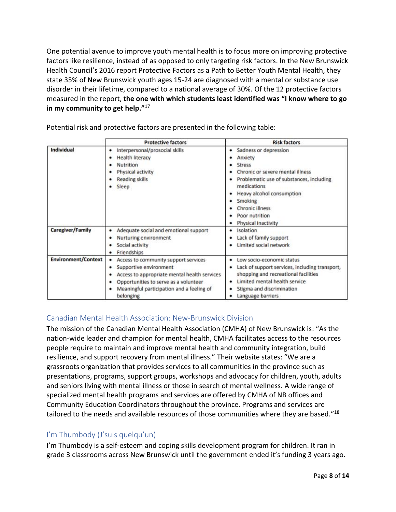One potential avenue to improve youth mental health is to focus more on improving protective factors like resilience, instead of as opposed to only targeting risk factors. In the New Brunswick Health Council's 2016 report Protective Factors as a Path to Better Youth Mental Health, they state 35% of New Brunswick youth ages 15-24 are diagnosed with a mental or substance use disorder in their lifetime, compared to a national average of 30%. Of the 12 protective factors measured in the report, **the one with which students least identified was "I know where to go in my community to get help."**<sup>17</sup>

|                            | <b>Protective factors</b>                                                                                                                                                                                                             | <b>Risk factors</b>                                                                                                                                                                                                                                                   |
|----------------------------|---------------------------------------------------------------------------------------------------------------------------------------------------------------------------------------------------------------------------------------|-----------------------------------------------------------------------------------------------------------------------------------------------------------------------------------------------------------------------------------------------------------------------|
| Individual                 | Interpersonal/prosocial skills<br>٠<br><b>Health literacy</b><br>Nutrition<br>Physical activity<br>Reading skills<br>Sleep                                                                                                            | Sadness or depression<br>٠<br>Anxiety<br><b>Stress</b><br>Chronic or severe mental illness<br>Problematic use of substances, including<br>medications<br>Heavy alcohol consumption<br>Smoking<br>٠<br><b>Chronic illness</b><br>Poor nutrition<br>Physical inactivity |
| Caregiver/Family           | Adequate social and emotional support<br>٠<br>Nurturing environment<br>٠<br>Social activity<br>Friendships<br>٠                                                                                                                       | Isolation<br>٠<br>Lack of family support<br>Limited social network                                                                                                                                                                                                    |
| <b>Environment/Context</b> | Access to community support services<br>Supportive environment<br>٠<br>Access to appropriate mental health services<br>٠<br>Opportunities to serve as a volunteer<br>٠<br>Meaningful participation and a feeling of<br>٠<br>belonging | Low socio-economic status<br>Lack of support services, including transport,<br>shopping and recreational facilities<br>Limited mental health service<br>Stigma and discrimination<br>Language barriers                                                                |

Potential risk and protective factors are presented in the following table:

## <span id="page-8-0"></span>Canadian Mental Health Association: New-Brunswick Division

The mission of the Canadian Mental Health Association (CMHA) of New Brunswick is: "As the nation-wide leader and champion for mental health, CMHA facilitates access to the resources people require to maintain and improve mental health and community integration, build resilience, and support recovery from mental illness." Their website states: "We are a grassroots organization that provides services to all communities in the province such as presentations, programs, support groups, workshops and advocacy for children, youth, adults and seniors living with mental illness or those in search of mental wellness. A wide range of specialized mental health programs and services are offered by CMHA of NB offices and Community Education Coordinators throughout the province. Programs and services are tailored to the needs and available resources of those communities where they are based."<sup>18</sup>

# <span id="page-8-1"></span>I'm Thumbody (J'suis quelqu'un)

I'm Thumbody is a self-esteem and coping skills development program for children. It ran in grade 3 classrooms across New Brunswick until the government ended it's funding 3 years ago.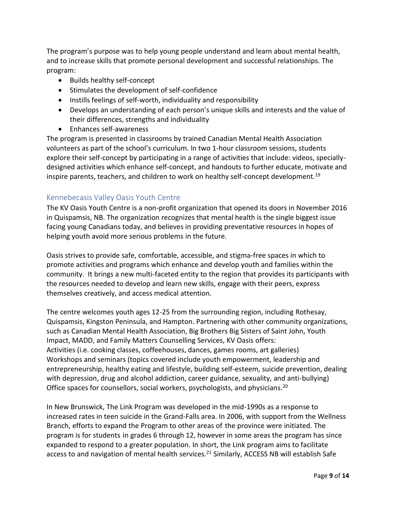The program's purpose was to help young people understand and learn about mental health, and to increase skills that promote personal development and successful relationships. The program:

- Builds healthy self-concept
- Stimulates the development of self-confidence
- Instills feelings of self-worth, individuality and responsibility
- Develops an understanding of each person's unique skills and interests and the value of their differences, strengths and individuality
- Enhances self-awareness

The program is presented in classrooms by trained Canadian Mental Health Association volunteers as part of the school's curriculum. In two 1-hour classroom sessions, students explore their self-concept by participating in a range of activities that include: videos, speciallydesigned activities which enhance self-concept, and handouts to further educate, motivate and inspire parents, teachers, and children to work on healthy self-concept development.<sup>19</sup>

## <span id="page-9-0"></span>Kennebecasis Valley Oasis Youth Centre

The KV Oasis Youth Centre is a non-profit organization that opened its doors in November 2016 in Quispamsis, NB. The organization recognizes that mental health is the single biggest issue facing young Canadians today, and believes in providing preventative resources in hopes of helping youth avoid more serious problems in the future.

Oasis strives to provide safe, comfortable, accessible, and stigma-free spaces in which to promote activities and programs which enhance and develop youth and families within the community. It brings a new multi-faceted entity to the region that provides its participants with the resources needed to develop and learn new skills, engage with their peers, express themselves creatively, and access medical attention.

The centre welcomes youth ages 12-25 from the surrounding region, including Rothesay, Quispamsis, Kingston Peninsula, and Hampton. Partnering with other community organizations, such as Canadian Mental Health Association, Big Brothers Big Sisters of Saint John, Youth Impact, MADD, and Family Matters Counselling Services, KV Oasis offers: Activities (i.e. cooking classes, coffeehouses, dances, games rooms, art galleries) Workshops and seminars (topics covered include youth empowerment, leadership and entrepreneurship, healthy eating and lifestyle, building self-esteem, suicide prevention, dealing with depression, drug and alcohol addiction, career guidance, sexuality, and anti-bullying) Office spaces for counsellors, social workers, psychologists, and physicians.<sup>20</sup>

In New Brunswick, The Link Program was developed in the mid-1990s as a response to increased rates in teen suicide in the Grand-Falls area. In 2006, with support from the Wellness Branch, efforts to expand the Program to other areas of the province were initiated. The program is for students in grades 6 through 12, however in some areas the program has since expanded to respond to a greater population. In short, the Link program aims to facilitate access to and navigation of mental health services.<sup>21</sup> Similarly, ACCESS NB will establish Safe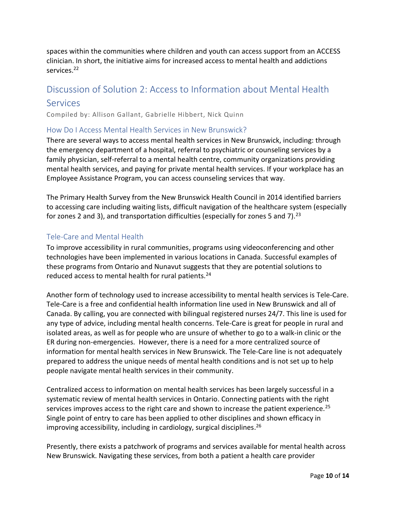spaces within the communities where children and youth can access support from an ACCESS clinician. In short, the initiative aims for increased access to mental health and addictions services.<sup>22</sup>

# <span id="page-10-0"></span>Discussion of Solution 2: Access to Information about Mental Health

## **Services**

Compiled by: Allison Gallant, Gabrielle Hibbert, Nick Quinn

## <span id="page-10-1"></span>How Do I Access Mental Health Services in New Brunswick?

There are several ways to access mental health services in New Brunswick, including: through the emergency department of a hospital, referral to psychiatric or counseling services by a family physician, self-referral to a mental health centre, community organizations providing mental health services, and paying for private mental health services. If your workplace has an Employee Assistance Program, you can access counseling services that way.

The Primary Health Survey from the New Brunswick Health Council in 2014 identified barriers to accessing care including waiting lists, difficult navigation of the healthcare system (especially for zones 2 and 3), and transportation difficulties (especially for zones 5 and 7).<sup>23</sup>

## <span id="page-10-2"></span>Tele-Care and Mental Health

To improve accessibility in rural communities, programs using videoconferencing and other technologies have been implemented in various locations in Canada. Successful examples of these programs from Ontario and Nunavut suggests that they are potential solutions to reduced access to mental health for rural patients.<sup>24</sup>

Another form of technology used to increase accessibility to mental health services is Tele-Care. Tele-Care is a free and confidential health information line used in New Brunswick and all of Canada. By calling, you are connected with bilingual registered nurses 24/7. This line is used for any type of advice, including mental health concerns. Tele-Care is great for people in rural and isolated areas, as well as for people who are unsure of whether to go to a walk-in clinic or the ER during non-emergencies. However, there is a need for a more centralized source of information for mental health services in New Brunswick. The Tele-Care line is not adequately prepared to address the unique needs of mental health conditions and is not set up to help people navigate mental health services in their community.

Centralized access to information on mental health services has been largely successful in a systematic review of mental health services in Ontario. Connecting patients with the right services improves access to the right care and shown to increase the patient experience.<sup>25</sup> Single point of entry to care has been applied to other disciplines and shown efficacy in improving accessibility, including in cardiology, surgical disciplines. 26

Presently, there exists a patchwork of programs and services available for mental health across New Brunswick. Navigating these services, from both a patient a health care provider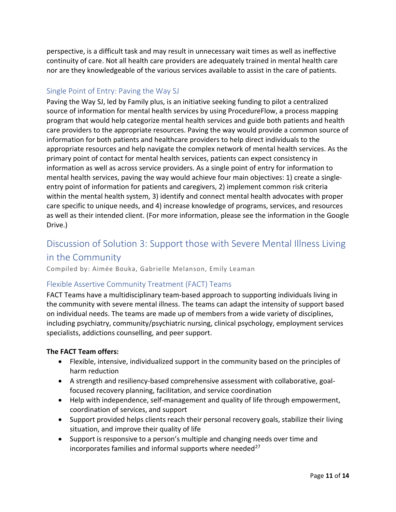perspective, is a difficult task and may result in unnecessary wait times as well as ineffective continuity of care. Not all health care providers are adequately trained in mental health care nor are they knowledgeable of the various services available to assist in the care of patients.

## <span id="page-11-0"></span>Single Point of Entry: Paving the Way SJ

Paving the Way SJ, led by Family plus, is an initiative seeking funding to pilot a centralized source of information for mental health services by using ProcedureFlow, a process mapping program that would help categorize mental health services and guide both patients and health care providers to the appropriate resources. Paving the way would provide a common source of information for both patients and healthcare providers to help direct individuals to the appropriate resources and help navigate the complex network of mental health services. As the primary point of contact for mental health services, patients can expect consistency in information as well as across service providers. As a single point of entry for information to mental health services, paving the way would achieve four main objectives: 1) create a singleentry point of information for patients and caregivers, 2) implement common risk criteria within the mental health system, 3) identify and connect mental health advocates with proper care specific to unique needs, and 4) increase knowledge of programs, services, and resources as well as their intended client. (For more information, please see the information in the Google Drive.)

# <span id="page-11-1"></span>Discussion of Solution 3: Support those with Severe Mental Illness Living

## in the Community

Compiled by: Aimée Bouka, Gabrielle Melanson, Emily Leaman

## <span id="page-11-2"></span>Flexible Assertive Community Treatment (FACT) Teams

FACT Teams have a multidisciplinary team-based approach to supporting individuals living in the community with severe mental illness. The teams can adapt the intensity of support based on individual needs. The teams are made up of members from a wide variety of disciplines, including psychiatry, community/psychiatric nursing, clinical psychology, employment services specialists, addictions counselling, and peer support.

#### **The FACT Team offers:**

- Flexible, intensive, individualized support in the community based on the principles of harm reduction
- A strength and resiliency-based comprehensive assessment with collaborative, goalfocused recovery planning, facilitation, and service coordination
- Help with independence, self-management and quality of life through empowerment, coordination of services, and support
- Support provided helps clients reach their personal recovery goals, stabilize their living situation, and improve their quality of life
- Support is responsive to a person's multiple and changing needs over time and incorporates families and informal supports where needed $^{27}$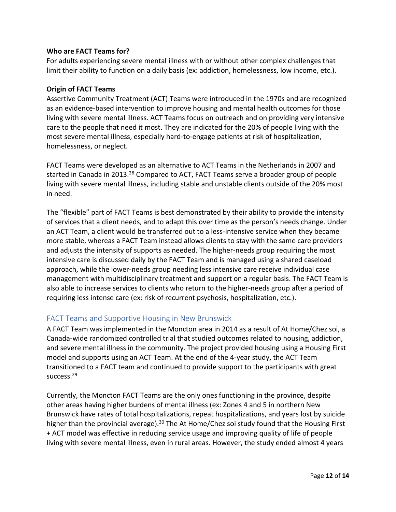#### **Who are FACT Teams for?**

For adults experiencing severe mental illness with or without other complex challenges that limit their ability to function on a daily basis (ex: addiction, homelessness, low income, etc.).

#### **Origin of FACT Teams**

Assertive Community Treatment (ACT) Teams were introduced in the 1970s and are recognized as an evidence-based intervention to improve housing and mental health outcomes for those living with severe mental illness. ACT Teams focus on outreach and on providing very intensive care to the people that need it most. They are indicated for the 20% of people living with the most severe mental illness, especially hard-to-engage patients at risk of hospitalization, homelessness, or neglect.

FACT Teams were developed as an alternative to ACT Teams in the Netherlands in 2007 and started in Canada in 2013.<sup>28</sup> Compared to ACT, FACT Teams serve a broader group of people living with severe mental illness, including stable and unstable clients outside of the 20% most in need.

The "flexible" part of FACT Teams is best demonstrated by their ability to provide the intensity of services that a client needs, and to adapt this over time as the person's needs change. Under an ACT Team, a client would be transferred out to a less-intensive service when they became more stable, whereas a FACT Team instead allows clients to stay with the same care providers and adjusts the intensity of supports as needed. The higher-needs group requiring the most intensive care is discussed daily by the FACT Team and is managed using a shared caseload approach, while the lower-needs group needing less intensive care receive individual case management with multidisciplinary treatment and support on a regular basis. The FACT Team is also able to increase services to clients who return to the higher-needs group after a period of requiring less intense care (ex: risk of recurrent psychosis, hospitalization, etc.).

## <span id="page-12-0"></span>FACT Teams and Supportive Housing in New Brunswick

A FACT Team was implemented in the Moncton area in 2014 as a result of At Home/Chez soi, a Canada-wide randomized controlled trial that studied outcomes related to housing, addiction, and severe mental illness in the community. The project provided housing using a Housing First model and supports using an ACT Team. At the end of the 4-year study, the ACT Team transitioned to a FACT team and continued to provide support to the participants with great success.<sup>29</sup>

Currently, the Moncton FACT Teams are the only ones functioning in the province, despite other areas having higher burdens of mental illness (ex: Zones 4 and 5 in northern New Brunswick have rates of total hospitalizations, repeat hospitalizations, and years lost by suicide higher than the provincial average).<sup>30</sup> The At Home/Chez soi study found that the Housing First + ACT model was effective in reducing service usage and improving quality of life of people living with severe mental illness, even in rural areas. However, the study ended almost 4 years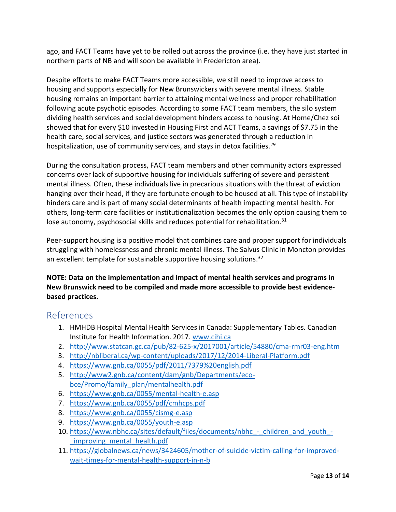ago, and FACT Teams have yet to be rolled out across the province (i.e. they have just started in northern parts of NB and will soon be available in Fredericton area).

Despite efforts to make FACT Teams more accessible, we still need to improve access to housing and supports especially for New Brunswickers with severe mental illness. Stable housing remains an important barrier to attaining mental wellness and proper rehabilitation following acute psychotic episodes. According to some FACT team members, the silo system dividing health services and social development hinders access to housing. At Home/Chez soi showed that for every \$10 invested in Housing First and ACT Teams, a savings of \$7.75 in the health care, social services, and justice sectors was generated through a reduction in hospitalization, use of community services, and stays in detox facilities.<sup>29</sup>

During the consultation process, FACT team members and other community actors expressed concerns over lack of supportive housing for individuals suffering of severe and persistent mental illness. Often, these individuals live in precarious situations with the threat of eviction hanging over their head, if they are fortunate enough to be housed at all. This type of instability hinders care and is part of many social determinants of health impacting mental health. For others, long-term care facilities or institutionalization becomes the only option causing them to lose autonomy, psychosocial skills and reduces potential for rehabilitation.<sup>31</sup>

Peer-support housing is a positive model that combines care and proper support for individuals struggling with homelessness and chronic mental illness. The Salvus Clinic in Moncton provides an excellent template for sustainable supportive housing solutions.<sup>32</sup>

**NOTE: Data on the implementation and impact of mental health services and programs in New Brunswick need to be compiled and made more accessible to provide best evidencebased practices.**

# <span id="page-13-0"></span>References

- 1. HMHDB Hospital Mental Health Services in Canada: Supplementary Tables. Canadian Institute for Health Information. 2017. [www.cihi.ca](http://www.cihi.ca/)
- 2. <http://www.statcan.gc.ca/pub/82-625-x/2017001/article/54880/cma-rmr03-eng.htm>
- 3. <http://nbliberal.ca/wp-content/uploads/2017/12/2014-Liberal-Platform.pdf>
- 4. <https://www.gnb.ca/0055/pdf/2011/7379%20english.pdf>
- 5. [http://www2.gnb.ca/content/dam/gnb/Departments/eco](http://www2.gnb.ca/content/dam/gnb/Departments/eco-bce/Promo/family_plan/mentalhealth.pdf)[bce/Promo/family\\_plan/mentalhealth.pdf](http://www2.gnb.ca/content/dam/gnb/Departments/eco-bce/Promo/family_plan/mentalhealth.pdf)
- 6. <https://www.gnb.ca/0055/mental-health-e.asp>
- 7. <https://www.gnb.ca/0055/pdf/cmhcps.pdf>
- 8. <https://www.gnb.ca/0055/cismg-e.asp>
- 9. <https://www.gnb.ca/0055/youth-e.asp>
- 10. [https://www.nbhc.ca/sites/default/files/documents/nbhc\\_-\\_children\\_and\\_youth\\_](https://www.nbhc.ca/sites/default/files/documents/nbhc_-_children_and_youth_-_improving_mental_health.pdf) improving mental health.pdf
- 11. [https://globalnews.ca/news/3424605/mother-of-suicide-victim-calling-for-improved](https://globalnews.ca/news/3424605/mother-of-suicide-victim-calling-for-improved-wait-times-for-mental-health-support-in-n-b)[wait-times-for-mental-health-support-in-n-b](https://globalnews.ca/news/3424605/mother-of-suicide-victim-calling-for-improved-wait-times-for-mental-health-support-in-n-b)